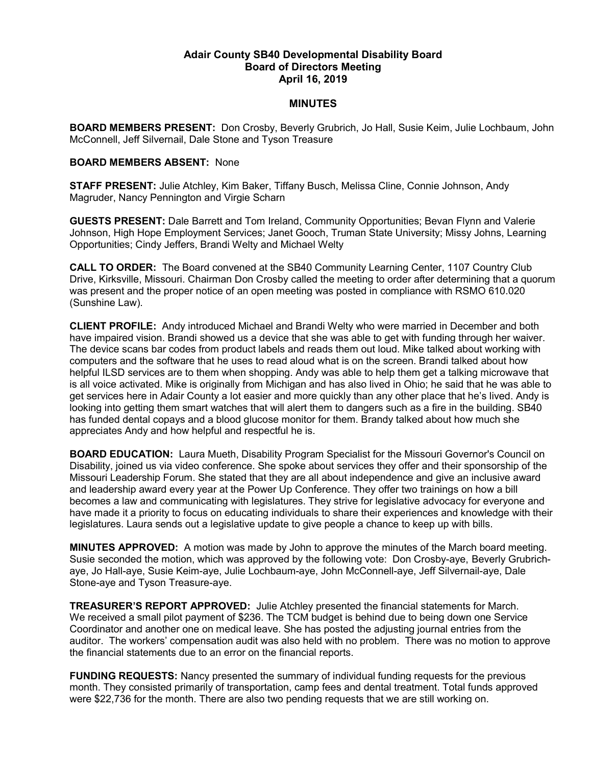## Adair County SB40 Developmental Disability Board Board of Directors Meeting April 16, 2019

## **MINUTES**

BOARD MEMBERS PRESENT: Don Crosby, Beverly Grubrich, Jo Hall, Susie Keim, Julie Lochbaum, John McConnell, Jeff Silvernail, Dale Stone and Tyson Treasure

## BOARD MEMBERS ABSENT: None

STAFF PRESENT: Julie Atchley, Kim Baker, Tiffany Busch, Melissa Cline, Connie Johnson, Andy Magruder, Nancy Pennington and Virgie Scharn

GUESTS PRESENT: Dale Barrett and Tom Ireland, Community Opportunities; Bevan Flynn and Valerie Johnson, High Hope Employment Services; Janet Gooch, Truman State University; Missy Johns, Learning Opportunities; Cindy Jeffers, Brandi Welty and Michael Welty

CALL TO ORDER: The Board convened at the SB40 Community Learning Center, 1107 Country Club Drive, Kirksville, Missouri. Chairman Don Crosby called the meeting to order after determining that a quorum was present and the proper notice of an open meeting was posted in compliance with RSMO 610.020 (Sunshine Law).

CLIENT PROFILE: Andy introduced Michael and Brandi Welty who were married in December and both have impaired vision. Brandi showed us a device that she was able to get with funding through her waiver. The device scans bar codes from product labels and reads them out loud. Mike talked about working with computers and the software that he uses to read aloud what is on the screen. Brandi talked about how helpful ILSD services are to them when shopping. Andy was able to help them get a talking microwave that is all voice activated. Mike is originally from Michigan and has also lived in Ohio; he said that he was able to get services here in Adair County a lot easier and more quickly than any other place that he's lived. Andy is looking into getting them smart watches that will alert them to dangers such as a fire in the building. SB40 has funded dental copays and a blood glucose monitor for them. Brandy talked about how much she appreciates Andy and how helpful and respectful he is.

BOARD EDUCATION: Laura Mueth, Disability Program Specialist for the Missouri Governor's Council on Disability, joined us via video conference. She spoke about services they offer and their sponsorship of the Missouri Leadership Forum. She stated that they are all about independence and give an inclusive award and leadership award every year at the Power Up Conference. They offer two trainings on how a bill becomes a law and communicating with legislatures. They strive for legislative advocacy for everyone and have made it a priority to focus on educating individuals to share their experiences and knowledge with their legislatures. Laura sends out a legislative update to give people a chance to keep up with bills.

MINUTES APPROVED: A motion was made by John to approve the minutes of the March board meeting. Susie seconded the motion, which was approved by the following vote: Don Crosby-aye, Beverly Grubrichaye, Jo Hall-aye, Susie Keim-aye, Julie Lochbaum-aye, John McConnell-aye, Jeff Silvernail-aye, Dale Stone-aye and Tyson Treasure-aye.

TREASURER'S REPORT APPROVED: Julie Atchley presented the financial statements for March. We received a small pilot payment of \$236. The TCM budget is behind due to being down one Service Coordinator and another one on medical leave. She has posted the adjusting journal entries from the auditor. The workers' compensation audit was also held with no problem. There was no motion to approve the financial statements due to an error on the financial reports.

FUNDING REQUESTS: Nancy presented the summary of individual funding requests for the previous month. They consisted primarily of transportation, camp fees and dental treatment. Total funds approved were \$22,736 for the month. There are also two pending requests that we are still working on.